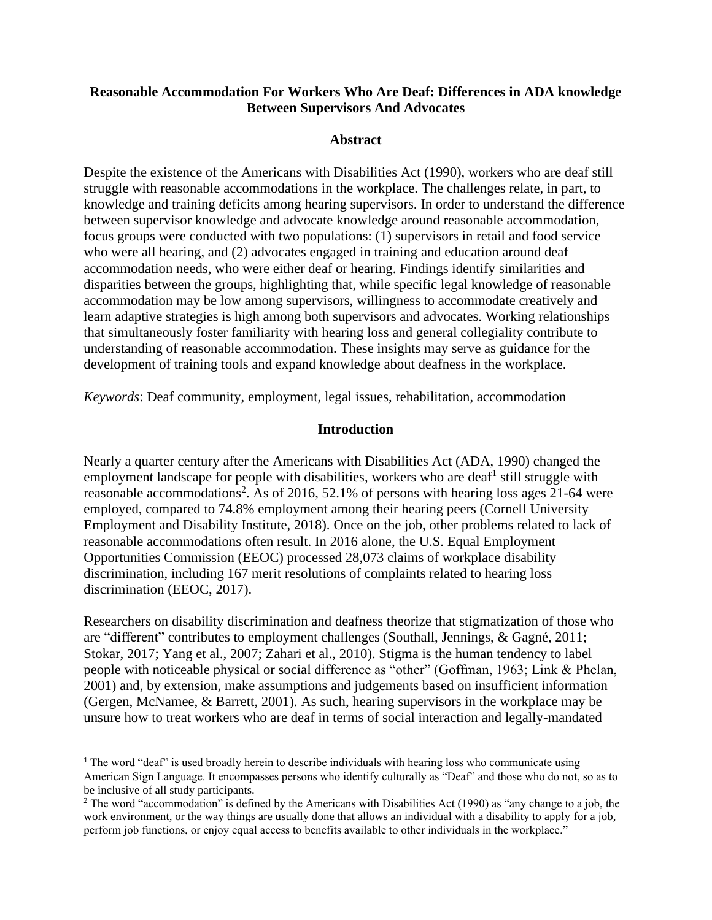## **Reasonable Accommodation For Workers Who Are Deaf: Differences in ADA knowledge Between Supervisors And Advocates**

#### **Abstract**

Despite the existence of the Americans with Disabilities Act (1990), workers who are deaf still struggle with reasonable accommodations in the workplace. The challenges relate, in part, to knowledge and training deficits among hearing supervisors. In order to understand the difference between supervisor knowledge and advocate knowledge around reasonable accommodation, focus groups were conducted with two populations: (1) supervisors in retail and food service who were all hearing, and (2) advocates engaged in training and education around deaf accommodation needs, who were either deaf or hearing. Findings identify similarities and disparities between the groups, highlighting that, while specific legal knowledge of reasonable accommodation may be low among supervisors, willingness to accommodate creatively and learn adaptive strategies is high among both supervisors and advocates. Working relationships that simultaneously foster familiarity with hearing loss and general collegiality contribute to understanding of reasonable accommodation. These insights may serve as guidance for the development of training tools and expand knowledge about deafness in the workplace.

*Keywords*: Deaf community, employment, legal issues, rehabilitation, accommodation

#### **Introduction**

Nearly a quarter century after the Americans with Disabilities Act (ADA, 1990) changed the employment landscape for people with disabilities, workers who are deaf<sup>1</sup> still struggle with reasonable accommodations<sup>2</sup>. As of 2016, 52.1% of persons with hearing loss ages 21-64 were employed, compared to 74.8% employment among their hearing peers (Cornell University Employment and Disability Institute, 2018). Once on the job, other problems related to lack of reasonable accommodations often result. In 2016 alone, the U.S. Equal Employment Opportunities Commission (EEOC) processed 28,073 claims of workplace disability discrimination, including 167 merit resolutions of complaints related to hearing loss discrimination (EEOC, 2017).

Researchers on disability discrimination and deafness theorize that stigmatization of those who are "different" contributes to employment challenges (Southall, Jennings, & Gagné, 2011; Stokar, 2017; Yang et al., 2007; Zahari et al., 2010). Stigma is the human tendency to label people with noticeable physical or social difference as "other" (Goffman, 1963; Link & Phelan, 2001) and, by extension, make assumptions and judgements based on insufficient information (Gergen, McNamee, & Barrett, 2001). As such, hearing supervisors in the workplace may be unsure how to treat workers who are deaf in terms of social interaction and legally-mandated

<sup>&</sup>lt;sup>1</sup> The word "deaf" is used broadly herein to describe individuals with hearing loss who communicate using American Sign Language. It encompasses persons who identify culturally as "Deaf" and those who do not, so as to be inclusive of all study participants.

<sup>&</sup>lt;sup>2</sup> The word "accommodation" is defined by the Americans with Disabilities Act (1990) as "any change to a job, the work environment, or the way things are usually done that allows an individual with a disability to apply for a job, perform job functions, or enjoy equal access to benefits available to other individuals in the workplace."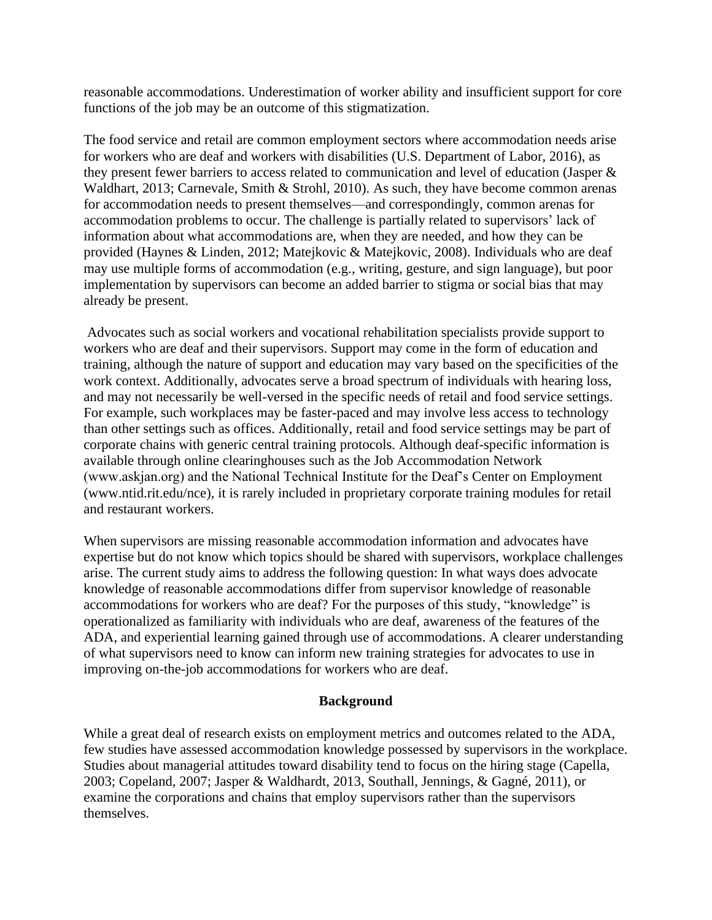reasonable accommodations. Underestimation of worker ability and insufficient support for core functions of the job may be an outcome of this stigmatization.

The food service and retail are common employment sectors where accommodation needs arise for workers who are deaf and workers with disabilities (U.S. Department of Labor, 2016), as they present fewer barriers to access related to communication and level of education (Jasper & Waldhart, 2013; Carnevale, Smith & Strohl, 2010). As such, they have become common arenas for accommodation needs to present themselves—and correspondingly, common arenas for accommodation problems to occur. The challenge is partially related to supervisors' lack of information about what accommodations are, when they are needed, and how they can be provided (Haynes & Linden, 2012; Matejkovic & Matejkovic, 2008). Individuals who are deaf may use multiple forms of accommodation (e.g., writing, gesture, and sign language), but poor implementation by supervisors can become an added barrier to stigma or social bias that may already be present.

Advocates such as social workers and vocational rehabilitation specialists provide support to workers who are deaf and their supervisors. Support may come in the form of education and training, although the nature of support and education may vary based on the specificities of the work context. Additionally, advocates serve a broad spectrum of individuals with hearing loss, and may not necessarily be well-versed in the specific needs of retail and food service settings. For example, such workplaces may be faster-paced and may involve less access to technology than other settings such as offices. Additionally, retail and food service settings may be part of corporate chains with generic central training protocols. Although deaf-specific information is available through online clearinghouses such as the Job Accommodation Network (www.askjan.org) and the National Technical Institute for the Deaf's Center on Employment (www.ntid.rit.edu/nce), it is rarely included in proprietary corporate training modules for retail and restaurant workers.

When supervisors are missing reasonable accommodation information and advocates have expertise but do not know which topics should be shared with supervisors, workplace challenges arise. The current study aims to address the following question: In what ways does advocate knowledge of reasonable accommodations differ from supervisor knowledge of reasonable accommodations for workers who are deaf? For the purposes of this study, "knowledge" is operationalized as familiarity with individuals who are deaf, awareness of the features of the ADA, and experiential learning gained through use of accommodations. A clearer understanding of what supervisors need to know can inform new training strategies for advocates to use in improving on-the-job accommodations for workers who are deaf.

#### **Background**

While a great deal of research exists on employment metrics and outcomes related to the ADA, few studies have assessed accommodation knowledge possessed by supervisors in the workplace. Studies about managerial attitudes toward disability tend to focus on the hiring stage (Capella, 2003; Copeland, 2007; Jasper & Waldhardt, 2013, Southall, Jennings, & Gagné, 2011), or examine the corporations and chains that employ supervisors rather than the supervisors themselves.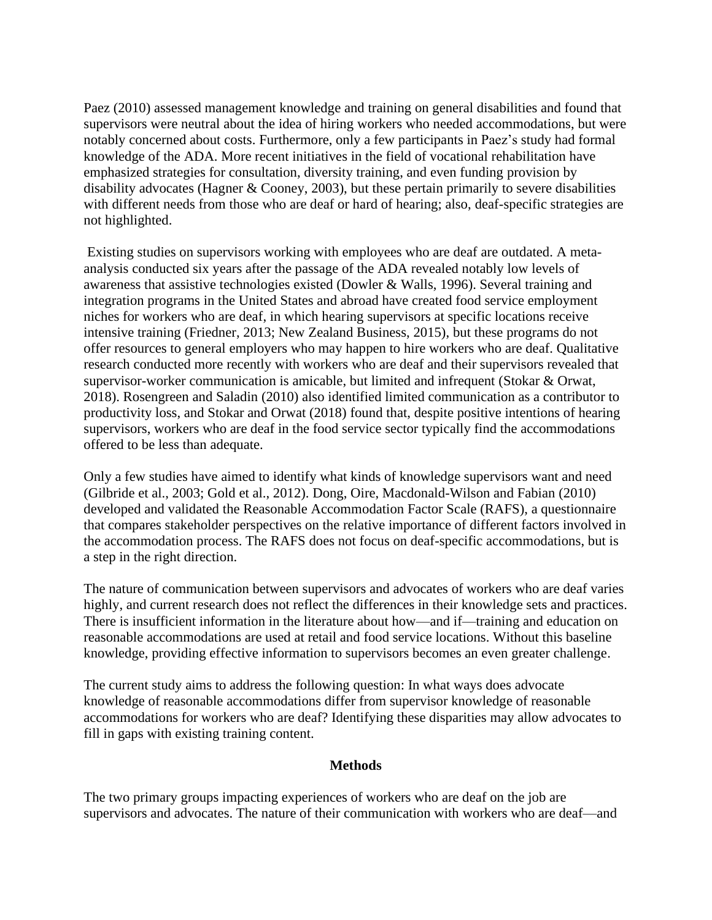Paez (2010) assessed management knowledge and training on general disabilities and found that supervisors were neutral about the idea of hiring workers who needed accommodations, but were notably concerned about costs. Furthermore, only a few participants in Paez's study had formal knowledge of the ADA. More recent initiatives in the field of vocational rehabilitation have emphasized strategies for consultation, diversity training, and even funding provision by disability advocates (Hagner  $& Cooney, 2003$ ), but these pertain primarily to severe disabilities with different needs from those who are deaf or hard of hearing; also, deaf-specific strategies are not highlighted.

Existing studies on supervisors working with employees who are deaf are outdated. A metaanalysis conducted six years after the passage of the ADA revealed notably low levels of awareness that assistive technologies existed (Dowler & Walls, 1996). Several training and integration programs in the United States and abroad have created food service employment niches for workers who are deaf, in which hearing supervisors at specific locations receive intensive training (Friedner, 2013; New Zealand Business, 2015), but these programs do not offer resources to general employers who may happen to hire workers who are deaf. Qualitative research conducted more recently with workers who are deaf and their supervisors revealed that supervisor-worker communication is amicable, but limited and infrequent (Stokar & Orwat, 2018). Rosengreen and Saladin (2010) also identified limited communication as a contributor to productivity loss, and Stokar and Orwat (2018) found that, despite positive intentions of hearing supervisors, workers who are deaf in the food service sector typically find the accommodations offered to be less than adequate.

Only a few studies have aimed to identify what kinds of knowledge supervisors want and need (Gilbride et al., 2003; Gold et al., 2012). Dong, Oire, Macdonald-Wilson and Fabian (2010) developed and validated the Reasonable Accommodation Factor Scale (RAFS), a questionnaire that compares stakeholder perspectives on the relative importance of different factors involved in the accommodation process. The RAFS does not focus on deaf-specific accommodations, but is a step in the right direction.

The nature of communication between supervisors and advocates of workers who are deaf varies highly, and current research does not reflect the differences in their knowledge sets and practices. There is insufficient information in the literature about how—and if—training and education on reasonable accommodations are used at retail and food service locations. Without this baseline knowledge, providing effective information to supervisors becomes an even greater challenge.

The current study aims to address the following question: In what ways does advocate knowledge of reasonable accommodations differ from supervisor knowledge of reasonable accommodations for workers who are deaf? Identifying these disparities may allow advocates to fill in gaps with existing training content.

#### **Methods**

The two primary groups impacting experiences of workers who are deaf on the job are supervisors and advocates. The nature of their communication with workers who are deaf—and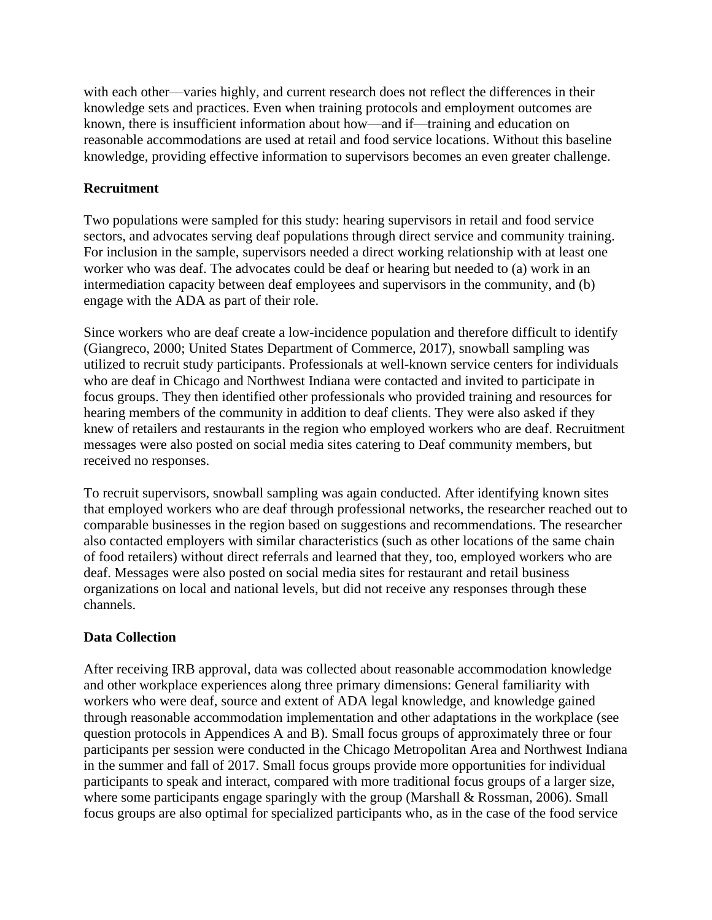with each other—varies highly, and current research does not reflect the differences in their knowledge sets and practices. Even when training protocols and employment outcomes are known, there is insufficient information about how—and if—training and education on reasonable accommodations are used at retail and food service locations. Without this baseline knowledge, providing effective information to supervisors becomes an even greater challenge.

# **Recruitment**

Two populations were sampled for this study: hearing supervisors in retail and food service sectors, and advocates serving deaf populations through direct service and community training. For inclusion in the sample, supervisors needed a direct working relationship with at least one worker who was deaf. The advocates could be deaf or hearing but needed to (a) work in an intermediation capacity between deaf employees and supervisors in the community, and (b) engage with the ADA as part of their role.

Since workers who are deaf create a low-incidence population and therefore difficult to identify (Giangreco, 2000; United States Department of Commerce, 2017), snowball sampling was utilized to recruit study participants. Professionals at well-known service centers for individuals who are deaf in Chicago and Northwest Indiana were contacted and invited to participate in focus groups. They then identified other professionals who provided training and resources for hearing members of the community in addition to deaf clients. They were also asked if they knew of retailers and restaurants in the region who employed workers who are deaf. Recruitment messages were also posted on social media sites catering to Deaf community members, but received no responses.

To recruit supervisors, snowball sampling was again conducted. After identifying known sites that employed workers who are deaf through professional networks, the researcher reached out to comparable businesses in the region based on suggestions and recommendations. The researcher also contacted employers with similar characteristics (such as other locations of the same chain of food retailers) without direct referrals and learned that they, too, employed workers who are deaf. Messages were also posted on social media sites for restaurant and retail business organizations on local and national levels, but did not receive any responses through these channels.

# **Data Collection**

After receiving IRB approval, data was collected about reasonable accommodation knowledge and other workplace experiences along three primary dimensions: General familiarity with workers who were deaf, source and extent of ADA legal knowledge, and knowledge gained through reasonable accommodation implementation and other adaptations in the workplace (see question protocols in Appendices A and B). Small focus groups of approximately three or four participants per session were conducted in the Chicago Metropolitan Area and Northwest Indiana in the summer and fall of 2017. Small focus groups provide more opportunities for individual participants to speak and interact, compared with more traditional focus groups of a larger size, where some participants engage sparingly with the group (Marshall & Rossman, 2006). Small focus groups are also optimal for specialized participants who, as in the case of the food service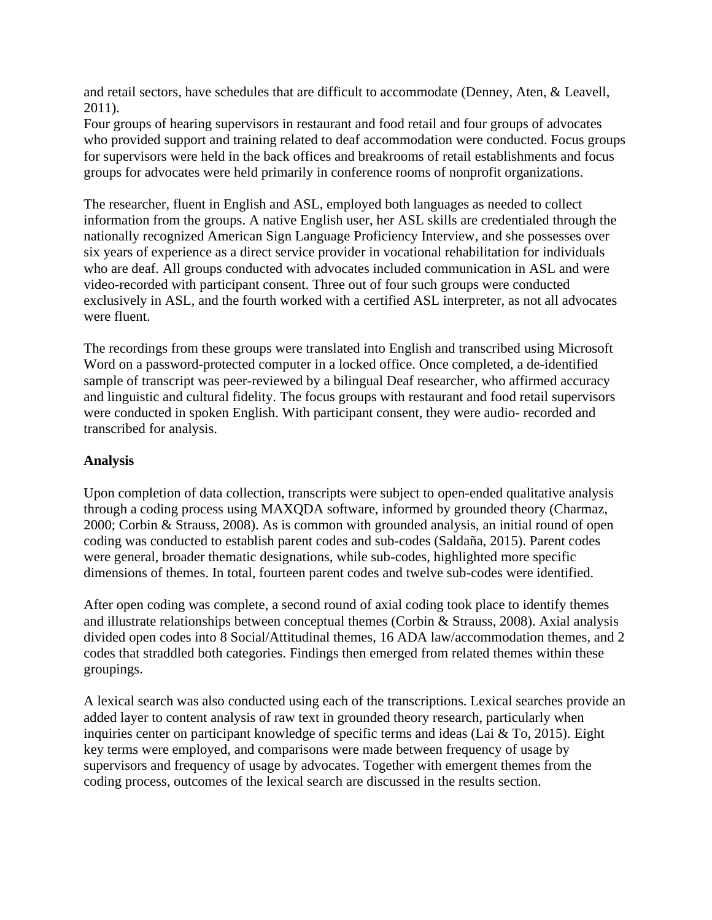and retail sectors, have schedules that are difficult to accommodate (Denney, Aten, & Leavell, 2011).

Four groups of hearing supervisors in restaurant and food retail and four groups of advocates who provided support and training related to deaf accommodation were conducted. Focus groups for supervisors were held in the back offices and breakrooms of retail establishments and focus groups for advocates were held primarily in conference rooms of nonprofit organizations.

The researcher, fluent in English and ASL, employed both languages as needed to collect information from the groups. A native English user, her ASL skills are credentialed through the nationally recognized American Sign Language Proficiency Interview, and she possesses over six years of experience as a direct service provider in vocational rehabilitation for individuals who are deaf. All groups conducted with advocates included communication in ASL and were video-recorded with participant consent. Three out of four such groups were conducted exclusively in ASL, and the fourth worked with a certified ASL interpreter, as not all advocates were fluent.

The recordings from these groups were translated into English and transcribed using Microsoft Word on a password-protected computer in a locked office. Once completed, a de-identified sample of transcript was peer-reviewed by a bilingual Deaf researcher, who affirmed accuracy and linguistic and cultural fidelity. The focus groups with restaurant and food retail supervisors were conducted in spoken English. With participant consent, they were audio- recorded and transcribed for analysis.

# **Analysis**

Upon completion of data collection, transcripts were subject to open-ended qualitative analysis through a coding process using MAXQDA software, informed by grounded theory (Charmaz, 2000; Corbin & Strauss, 2008). As is common with grounded analysis, an initial round of open coding was conducted to establish parent codes and sub-codes (Saldaña, 2015). Parent codes were general, broader thematic designations, while sub-codes, highlighted more specific dimensions of themes. In total, fourteen parent codes and twelve sub-codes were identified.

After open coding was complete, a second round of axial coding took place to identify themes and illustrate relationships between conceptual themes (Corbin & Strauss, 2008). Axial analysis divided open codes into 8 Social/Attitudinal themes, 16 ADA law/accommodation themes, and 2 codes that straddled both categories. Findings then emerged from related themes within these groupings.

A lexical search was also conducted using each of the transcriptions. Lexical searches provide an added layer to content analysis of raw text in grounded theory research, particularly when inquiries center on participant knowledge of specific terms and ideas (Lai & To, 2015). Eight key terms were employed, and comparisons were made between frequency of usage by supervisors and frequency of usage by advocates. Together with emergent themes from the coding process, outcomes of the lexical search are discussed in the results section.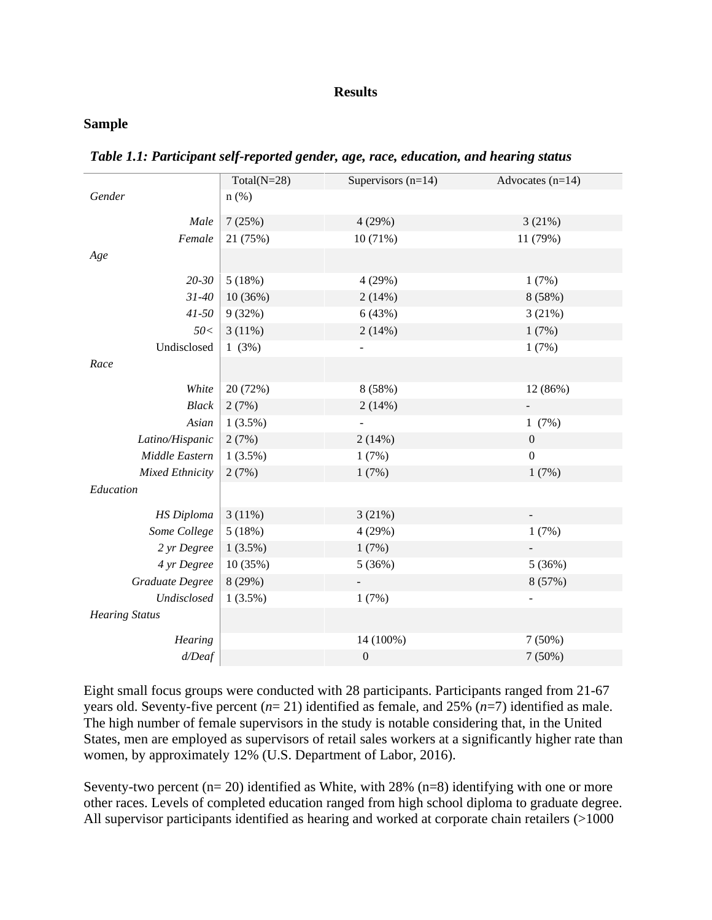#### **Results**

#### **Sample**

|                        | Total( $N=28$ ) | Supervisors $(n=14)$ | Advocates $(n=14)$ |
|------------------------|-----------------|----------------------|--------------------|
| Gender                 | $n$ (%)         |                      |                    |
| Male                   | 7(25%)          | 4(29%)               | 3(21%)             |
| Female                 | 21 (75%)        | 10 (71%)             | 11 (79%)           |
| Age                    |                 |                      |                    |
| 20-30                  | 5(18%)          | 4 (29%)              | 1(7%)              |
| $31 - 40$              | 10(36%)         | 2(14%)               | 8 (58%)            |
| $41 - 50$              | 9(32%)          | 6(43%)               | 3(21%)             |
| 50<                    | 3(11%)          | 2(14%)               | 1(7%)              |
| Undisclosed            | 1(3%)           |                      | 1(7%)              |
| Race                   |                 |                      |                    |
| White                  | 20 (72%)        | 8 (58%)              | 12 (86%)           |
| $Black$                | 2(7%)           | 2(14%)               |                    |
| Asian                  | $1(3.5\%)$      |                      | 1(7%)              |
| Latino/Hispanic        | 2(7%)           | 2(14%)               | $\boldsymbol{0}$   |
| Middle Eastern         | $1(3.5\%)$      | 1(7%)                | $\boldsymbol{0}$   |
| <b>Mixed Ethnicity</b> | 2(7%)           | 1(7%)                | 1(7%)              |
| Education              |                 |                      |                    |
| <b>HS</b> Diploma      | 3(11%)          | 3(21%)               |                    |
| Some College           | 5(18%)          | 4(29%)               | 1(7%)              |
| 2 yr Degree            | $1(3.5\%)$      | 1(7%)                |                    |
| 4 yr Degree            | 10 (35%)        | 5(36%)               | 5(36%)             |
| Graduate Degree        | 8 (29%)         |                      | 8 (57%)            |
| Undisclosed            | $1(3.5\%)$      | 1(7%)                |                    |
| <b>Hearing Status</b>  |                 |                      |                    |
| Hearing                |                 | 14 (100%)            | 7(50%)             |
| $d/$ Deaf              |                 | $\boldsymbol{0}$     | 7(50%)             |
|                        |                 |                      |                    |

*Table 1.1: Participant self-reported gender, age, race, education, and hearing status*

Eight small focus groups were conducted with 28 participants. Participants ranged from 21-67 years old. Seventy-five percent (*n*= 21) identified as female, and 25% (*n*=7) identified as male. The high number of female supervisors in the study is notable considering that, in the United States, men are employed as supervisors of retail sales workers at a significantly higher rate than women, by approximately 12% (U.S. Department of Labor, 2016).

Seventy-two percent  $(n= 20)$  identified as White, with 28%  $(n=8)$  identifying with one or more other races. Levels of completed education ranged from high school diploma to graduate degree. All supervisor participants identified as hearing and worked at corporate chain retailers (>1000)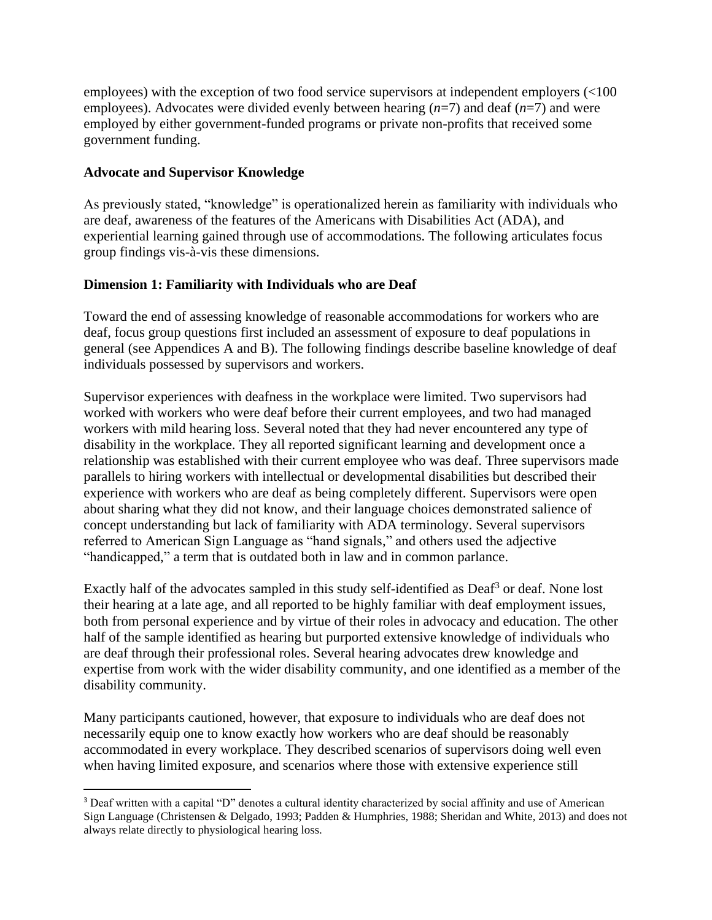employees) with the exception of two food service supervisors at independent employers (<100 employees). Advocates were divided evenly between hearing (*n*=7) and deaf (*n*=7) and were employed by either government-funded programs or private non-profits that received some government funding.

# **Advocate and Supervisor Knowledge**

As previously stated, "knowledge" is operationalized herein as familiarity with individuals who are deaf, awareness of the features of the Americans with Disabilities Act (ADA), and experiential learning gained through use of accommodations. The following articulates focus group findings vis-à-vis these dimensions.

# **Dimension 1: Familiarity with Individuals who are Deaf**

Toward the end of assessing knowledge of reasonable accommodations for workers who are deaf, focus group questions first included an assessment of exposure to deaf populations in general (see Appendices A and B). The following findings describe baseline knowledge of deaf individuals possessed by supervisors and workers.

Supervisor experiences with deafness in the workplace were limited. Two supervisors had worked with workers who were deaf before their current employees, and two had managed workers with mild hearing loss. Several noted that they had never encountered any type of disability in the workplace. They all reported significant learning and development once a relationship was established with their current employee who was deaf. Three supervisors made parallels to hiring workers with intellectual or developmental disabilities but described their experience with workers who are deaf as being completely different. Supervisors were open about sharing what they did not know, and their language choices demonstrated salience of concept understanding but lack of familiarity with ADA terminology. Several supervisors referred to American Sign Language as "hand signals," and others used the adjective "handicapped," a term that is outdated both in law and in common parlance.

Exactly half of the advocates sampled in this study self-identified as  $\text{Daf}^3$  or deaf. None lost their hearing at a late age, and all reported to be highly familiar with deaf employment issues, both from personal experience and by virtue of their roles in advocacy and education. The other half of the sample identified as hearing but purported extensive knowledge of individuals who are deaf through their professional roles. Several hearing advocates drew knowledge and expertise from work with the wider disability community, and one identified as a member of the disability community.

Many participants cautioned, however, that exposure to individuals who are deaf does not necessarily equip one to know exactly how workers who are deaf should be reasonably accommodated in every workplace. They described scenarios of supervisors doing well even when having limited exposure, and scenarios where those with extensive experience still

<sup>3</sup> Deaf written with a capital "D" denotes a cultural identity characterized by social affinity and use of American Sign Language (Christensen & Delgado, 1993; Padden & Humphries, 1988; Sheridan and White, 2013) and does not always relate directly to physiological hearing loss.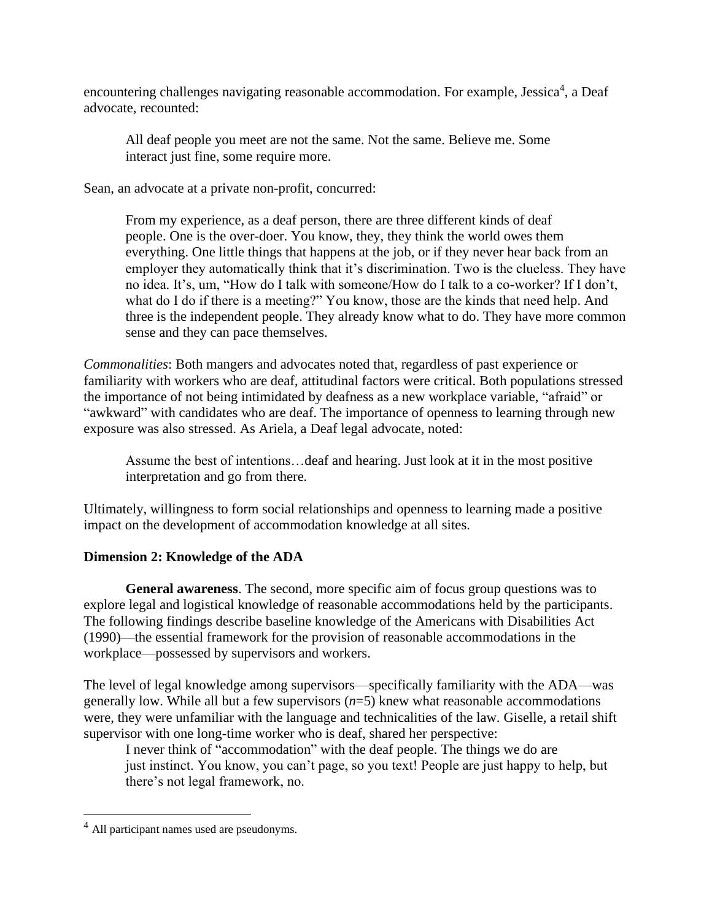encountering challenges navigating reasonable accommodation. For example, Jessica<sup>4</sup>, a Deaf advocate, recounted:

All deaf people you meet are not the same. Not the same. Believe me. Some interact just fine, some require more.

Sean, an advocate at a private non-profit, concurred:

From my experience, as a deaf person, there are three different kinds of deaf people. One is the over-doer. You know, they, they think the world owes them everything. One little things that happens at the job, or if they never hear back from an employer they automatically think that it's discrimination. Two is the clueless. They have no idea. It's, um, "How do I talk with someone/How do I talk to a co-worker? If I don't, what do I do if there is a meeting?" You know, those are the kinds that need help. And three is the independent people. They already know what to do. They have more common sense and they can pace themselves.

*Commonalities*: Both mangers and advocates noted that, regardless of past experience or familiarity with workers who are deaf, attitudinal factors were critical. Both populations stressed the importance of not being intimidated by deafness as a new workplace variable, "afraid" or "awkward" with candidates who are deaf. The importance of openness to learning through new exposure was also stressed. As Ariela, a Deaf legal advocate, noted:

Assume the best of intentions…deaf and hearing. Just look at it in the most positive interpretation and go from there.

Ultimately, willingness to form social relationships and openness to learning made a positive impact on the development of accommodation knowledge at all sites.

# **Dimension 2: Knowledge of the ADA**

**General awareness**. The second, more specific aim of focus group questions was to explore legal and logistical knowledge of reasonable accommodations held by the participants. The following findings describe baseline knowledge of the Americans with Disabilities Act (1990)—the essential framework for the provision of reasonable accommodations in the workplace—possessed by supervisors and workers.

The level of legal knowledge among supervisors—specifically familiarity with the ADA—was generally low. While all but a few supervisors (*n*=5) knew what reasonable accommodations were, they were unfamiliar with the language and technicalities of the law. Giselle, a retail shift supervisor with one long-time worker who is deaf, shared her perspective:

I never think of "accommodation" with the deaf people. The things we do are just instinct. You know, you can't page, so you text! People are just happy to help, but there's not legal framework, no.

<sup>4</sup> All participant names used are pseudonyms.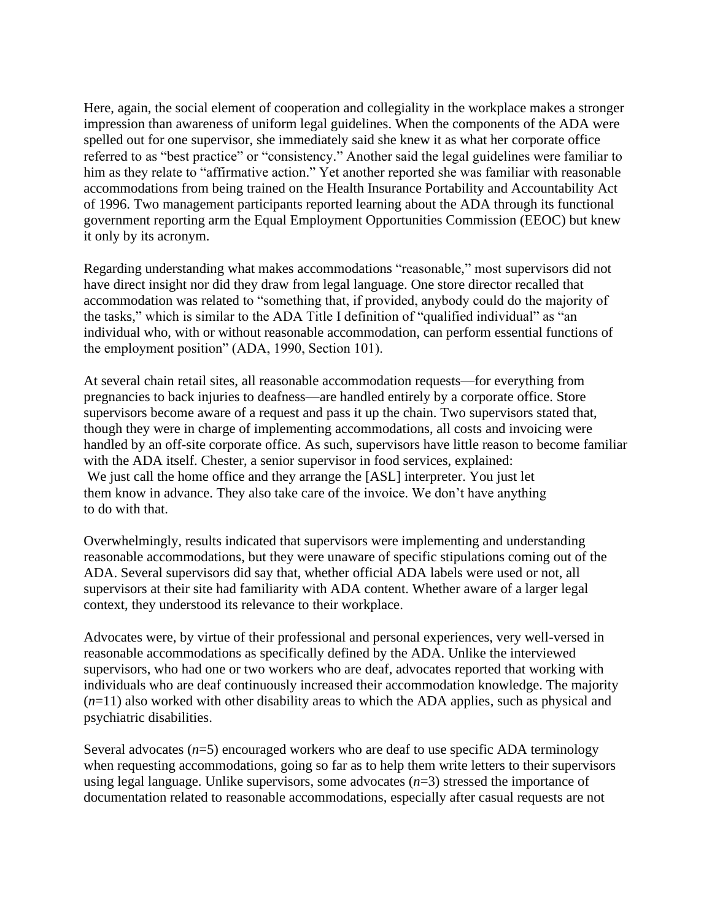Here, again, the social element of cooperation and collegiality in the workplace makes a stronger impression than awareness of uniform legal guidelines. When the components of the ADA were spelled out for one supervisor, she immediately said she knew it as what her corporate office referred to as "best practice" or "consistency." Another said the legal guidelines were familiar to him as they relate to "affirmative action." Yet another reported she was familiar with reasonable accommodations from being trained on the Health Insurance Portability and Accountability Act of 1996. Two management participants reported learning about the ADA through its functional government reporting arm the Equal Employment Opportunities Commission (EEOC) but knew it only by its acronym.

Regarding understanding what makes accommodations "reasonable," most supervisors did not have direct insight nor did they draw from legal language. One store director recalled that accommodation was related to "something that, if provided, anybody could do the majority of the tasks," which is similar to the ADA Title I definition of "qualified individual" as "an individual who, with or without reasonable accommodation, can perform essential functions of the employment position" (ADA, 1990, Section 101).

At several chain retail sites, all reasonable accommodation requests—for everything from pregnancies to back injuries to deafness—are handled entirely by a corporate office. Store supervisors become aware of a request and pass it up the chain. Two supervisors stated that, though they were in charge of implementing accommodations, all costs and invoicing were handled by an off-site corporate office. As such, supervisors have little reason to become familiar with the ADA itself. Chester, a senior supervisor in food services, explained: We just call the home office and they arrange the [ASL] interpreter. You just let them know in advance. They also take care of the invoice. We don't have anything to do with that.

Overwhelmingly, results indicated that supervisors were implementing and understanding reasonable accommodations, but they were unaware of specific stipulations coming out of the ADA. Several supervisors did say that, whether official ADA labels were used or not, all supervisors at their site had familiarity with ADA content. Whether aware of a larger legal context, they understood its relevance to their workplace.

Advocates were, by virtue of their professional and personal experiences, very well-versed in reasonable accommodations as specifically defined by the ADA. Unlike the interviewed supervisors, who had one or two workers who are deaf, advocates reported that working with individuals who are deaf continuously increased their accommodation knowledge. The majority (*n*=11) also worked with other disability areas to which the ADA applies, such as physical and psychiatric disabilities.

Several advocates  $(n=5)$  encouraged workers who are deaf to use specific ADA terminology when requesting accommodations, going so far as to help them write letters to their supervisors using legal language. Unlike supervisors, some advocates  $(n=3)$  stressed the importance of documentation related to reasonable accommodations, especially after casual requests are not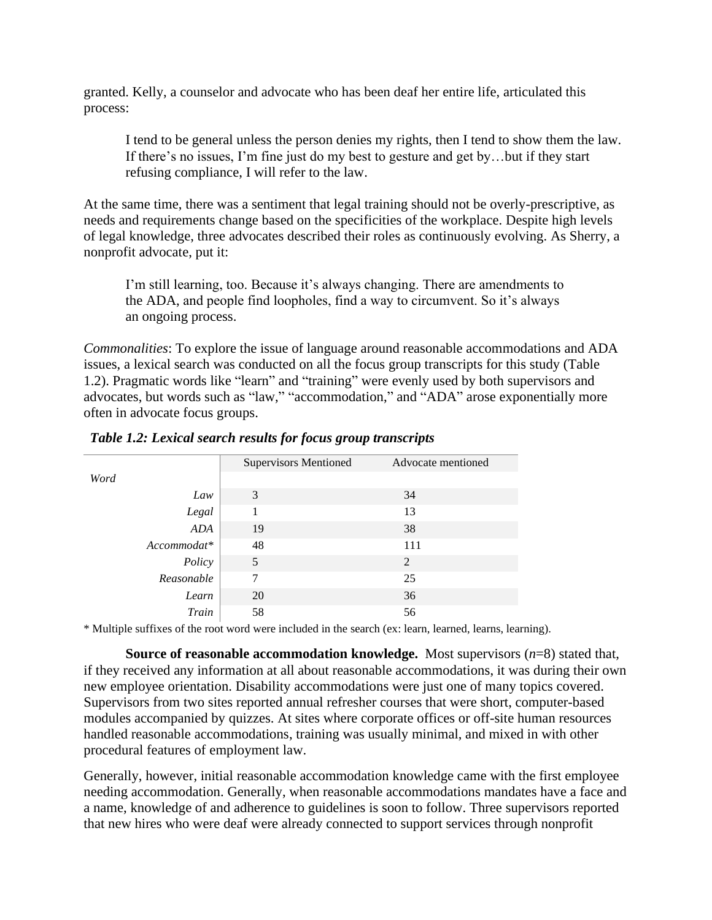granted. Kelly, a counselor and advocate who has been deaf her entire life, articulated this process:

I tend to be general unless the person denies my rights, then I tend to show them the law. If there's no issues, I'm fine just do my best to gesture and get by…but if they start refusing compliance, I will refer to the law.

At the same time, there was a sentiment that legal training should not be overly-prescriptive, as needs and requirements change based on the specificities of the workplace. Despite high levels of legal knowledge, three advocates described their roles as continuously evolving. As Sherry, a nonprofit advocate, put it:

I'm still learning, too. Because it's always changing. There are amendments to the ADA, and people find loopholes, find a way to circumvent. So it's always an ongoing process.

*Commonalities*: To explore the issue of language around reasonable accommodations and ADA issues, a lexical search was conducted on all the focus group transcripts for this study (Table 1.2). Pragmatic words like "learn" and "training" were evenly used by both supervisors and advocates, but words such as "law," "accommodation," and "ADA" arose exponentially more often in advocate focus groups.

|            | <b>Supervisors Mentioned</b> | Advocate mentioned |  |
|------------|------------------------------|--------------------|--|
| Word       |                              |                    |  |
| Law        | 3                            | 34                 |  |
| Legal      |                              | 13                 |  |
| ADA        | 19                           | 38                 |  |
| $Account*$ | 48                           | 111                |  |
| Policy     | 5                            | 2                  |  |
| Reasonable | 7                            | 25                 |  |
| Learn      | 20                           | 36                 |  |
| Train      | 58                           | 56                 |  |
|            |                              |                    |  |

*Table 1.2: Lexical search results for focus group transcripts* 

\* Multiple suffixes of the root word were included in the search (ex: learn, learned, learns, learning).

**Source of reasonable accommodation knowledge.** Most supervisors (*n*=8) stated that, if they received any information at all about reasonable accommodations, it was during their own new employee orientation. Disability accommodations were just one of many topics covered. Supervisors from two sites reported annual refresher courses that were short, computer-based modules accompanied by quizzes. At sites where corporate offices or off-site human resources handled reasonable accommodations, training was usually minimal, and mixed in with other procedural features of employment law.

Generally, however, initial reasonable accommodation knowledge came with the first employee needing accommodation. Generally, when reasonable accommodations mandates have a face and a name, knowledge of and adherence to guidelines is soon to follow. Three supervisors reported that new hires who were deaf were already connected to support services through nonprofit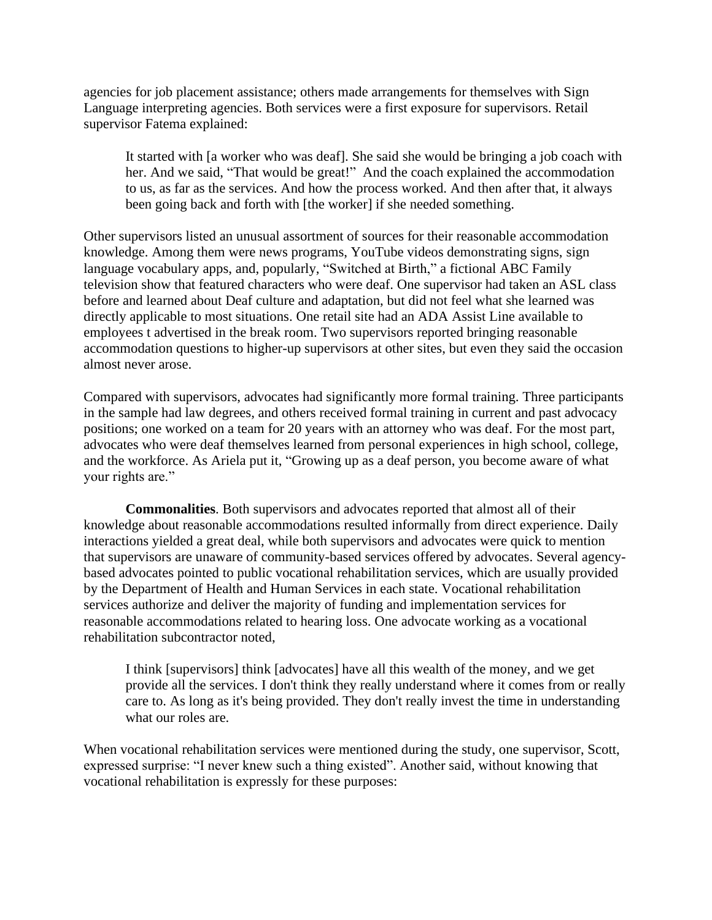agencies for job placement assistance; others made arrangements for themselves with Sign Language interpreting agencies. Both services were a first exposure for supervisors. Retail supervisor Fatema explained:

It started with [a worker who was deaf]. She said she would be bringing a job coach with her. And we said, "That would be great!" And the coach explained the accommodation to us, as far as the services. And how the process worked. And then after that, it always been going back and forth with [the worker] if she needed something.

Other supervisors listed an unusual assortment of sources for their reasonable accommodation knowledge. Among them were news programs, YouTube videos demonstrating signs, sign language vocabulary apps, and, popularly, "Switched at Birth," a fictional ABC Family television show that featured characters who were deaf. One supervisor had taken an ASL class before and learned about Deaf culture and adaptation, but did not feel what she learned was directly applicable to most situations. One retail site had an ADA Assist Line available to employees t advertised in the break room. Two supervisors reported bringing reasonable accommodation questions to higher-up supervisors at other sites, but even they said the occasion almost never arose.

Compared with supervisors, advocates had significantly more formal training. Three participants in the sample had law degrees, and others received formal training in current and past advocacy positions; one worked on a team for 20 years with an attorney who was deaf. For the most part, advocates who were deaf themselves learned from personal experiences in high school, college, and the workforce. As Ariela put it, "Growing up as a deaf person, you become aware of what your rights are."

**Commonalities**. Both supervisors and advocates reported that almost all of their knowledge about reasonable accommodations resulted informally from direct experience. Daily interactions yielded a great deal, while both supervisors and advocates were quick to mention that supervisors are unaware of community-based services offered by advocates. Several agencybased advocates pointed to public vocational rehabilitation services, which are usually provided by the Department of Health and Human Services in each state. Vocational rehabilitation services authorize and deliver the majority of funding and implementation services for reasonable accommodations related to hearing loss. One advocate working as a vocational rehabilitation subcontractor noted,

I think [supervisors] think [advocates] have all this wealth of the money, and we get provide all the services. I don't think they really understand where it comes from or really care to. As long as it's being provided. They don't really invest the time in understanding what our roles are.

When vocational rehabilitation services were mentioned during the study, one supervisor, Scott, expressed surprise: "I never knew such a thing existed". Another said, without knowing that vocational rehabilitation is expressly for these purposes: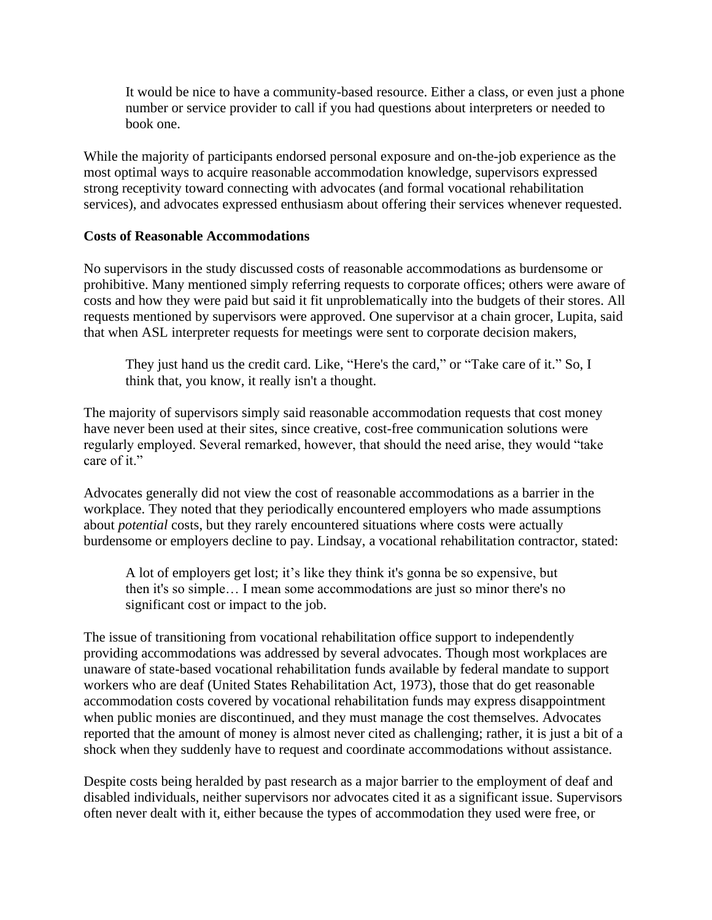It would be nice to have a community-based resource. Either a class, or even just a phone number or service provider to call if you had questions about interpreters or needed to book one.

While the majority of participants endorsed personal exposure and on-the-job experience as the most optimal ways to acquire reasonable accommodation knowledge, supervisors expressed strong receptivity toward connecting with advocates (and formal vocational rehabilitation services), and advocates expressed enthusiasm about offering their services whenever requested.

#### **Costs of Reasonable Accommodations**

No supervisors in the study discussed costs of reasonable accommodations as burdensome or prohibitive. Many mentioned simply referring requests to corporate offices; others were aware of costs and how they were paid but said it fit unproblematically into the budgets of their stores. All requests mentioned by supervisors were approved. One supervisor at a chain grocer, Lupita, said that when ASL interpreter requests for meetings were sent to corporate decision makers,

They just hand us the credit card. Like, "Here's the card," or "Take care of it." So, I think that, you know, it really isn't a thought.

The majority of supervisors simply said reasonable accommodation requests that cost money have never been used at their sites, since creative, cost-free communication solutions were regularly employed. Several remarked, however, that should the need arise, they would "take care of it."

Advocates generally did not view the cost of reasonable accommodations as a barrier in the workplace. They noted that they periodically encountered employers who made assumptions about *potential* costs, but they rarely encountered situations where costs were actually burdensome or employers decline to pay. Lindsay, a vocational rehabilitation contractor, stated:

A lot of employers get lost; it's like they think it's gonna be so expensive, but then it's so simple… I mean some accommodations are just so minor there's no significant cost or impact to the job.

The issue of transitioning from vocational rehabilitation office support to independently providing accommodations was addressed by several advocates. Though most workplaces are unaware of state-based vocational rehabilitation funds available by federal mandate to support workers who are deaf (United States Rehabilitation Act, 1973), those that do get reasonable accommodation costs covered by vocational rehabilitation funds may express disappointment when public monies are discontinued, and they must manage the cost themselves. Advocates reported that the amount of money is almost never cited as challenging; rather, it is just a bit of a shock when they suddenly have to request and coordinate accommodations without assistance.

Despite costs being heralded by past research as a major barrier to the employment of deaf and disabled individuals, neither supervisors nor advocates cited it as a significant issue. Supervisors often never dealt with it, either because the types of accommodation they used were free, or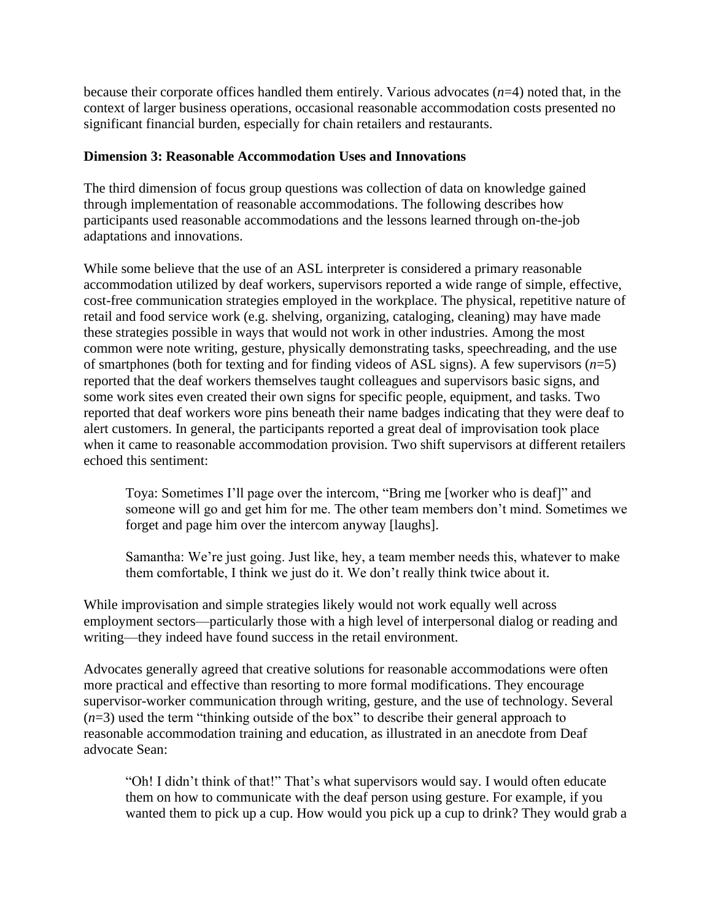because their corporate offices handled them entirely. Various advocates (*n*=4) noted that, in the context of larger business operations, occasional reasonable accommodation costs presented no significant financial burden, especially for chain retailers and restaurants.

# **Dimension 3: Reasonable Accommodation Uses and Innovations**

The third dimension of focus group questions was collection of data on knowledge gained through implementation of reasonable accommodations. The following describes how participants used reasonable accommodations and the lessons learned through on-the-job adaptations and innovations.

While some believe that the use of an ASL interpreter is considered a primary reasonable accommodation utilized by deaf workers, supervisors reported a wide range of simple, effective, cost-free communication strategies employed in the workplace. The physical, repetitive nature of retail and food service work (e.g. shelving, organizing, cataloging, cleaning) may have made these strategies possible in ways that would not work in other industries. Among the most common were note writing, gesture, physically demonstrating tasks, speechreading, and the use of smartphones (both for texting and for finding videos of ASL signs). A few supervisors (*n*=5) reported that the deaf workers themselves taught colleagues and supervisors basic signs, and some work sites even created their own signs for specific people, equipment, and tasks. Two reported that deaf workers wore pins beneath their name badges indicating that they were deaf to alert customers. In general, the participants reported a great deal of improvisation took place when it came to reasonable accommodation provision. Two shift supervisors at different retailers echoed this sentiment:

Toya: Sometimes I'll page over the intercom, "Bring me [worker who is deaf]" and someone will go and get him for me. The other team members don't mind. Sometimes we forget and page him over the intercom anyway [laughs].

Samantha: We're just going. Just like, hey, a team member needs this, whatever to make them comfortable, I think we just do it. We don't really think twice about it.

While improvisation and simple strategies likely would not work equally well across employment sectors—particularly those with a high level of interpersonal dialog or reading and writing—they indeed have found success in the retail environment.

Advocates generally agreed that creative solutions for reasonable accommodations were often more practical and effective than resorting to more formal modifications. They encourage supervisor-worker communication through writing, gesture, and the use of technology. Several (*n*=3) used the term "thinking outside of the box" to describe their general approach to reasonable accommodation training and education, as illustrated in an anecdote from Deaf advocate Sean:

"Oh! I didn't think of that!" That's what supervisors would say. I would often educate them on how to communicate with the deaf person using gesture. For example, if you wanted them to pick up a cup. How would you pick up a cup to drink? They would grab a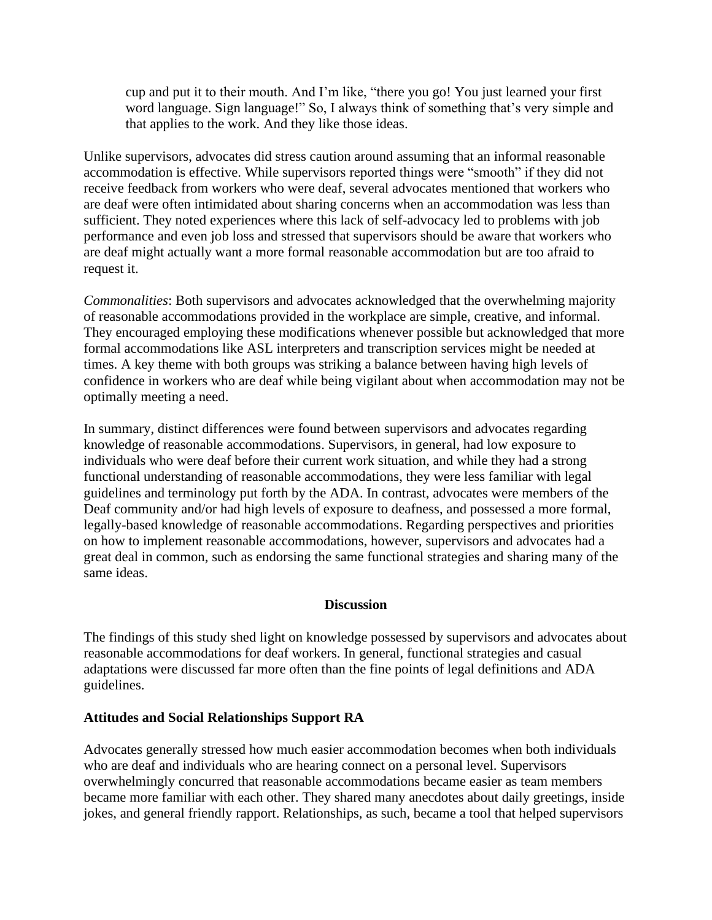cup and put it to their mouth. And I'm like, "there you go! You just learned your first word language. Sign language!" So, I always think of something that's very simple and that applies to the work. And they like those ideas.

Unlike supervisors, advocates did stress caution around assuming that an informal reasonable accommodation is effective. While supervisors reported things were "smooth" if they did not receive feedback from workers who were deaf, several advocates mentioned that workers who are deaf were often intimidated about sharing concerns when an accommodation was less than sufficient. They noted experiences where this lack of self-advocacy led to problems with job performance and even job loss and stressed that supervisors should be aware that workers who are deaf might actually want a more formal reasonable accommodation but are too afraid to request it.

*Commonalities*: Both supervisors and advocates acknowledged that the overwhelming majority of reasonable accommodations provided in the workplace are simple, creative, and informal. They encouraged employing these modifications whenever possible but acknowledged that more formal accommodations like ASL interpreters and transcription services might be needed at times. A key theme with both groups was striking a balance between having high levels of confidence in workers who are deaf while being vigilant about when accommodation may not be optimally meeting a need.

In summary, distinct differences were found between supervisors and advocates regarding knowledge of reasonable accommodations. Supervisors, in general, had low exposure to individuals who were deaf before their current work situation, and while they had a strong functional understanding of reasonable accommodations, they were less familiar with legal guidelines and terminology put forth by the ADA. In contrast, advocates were members of the Deaf community and/or had high levels of exposure to deafness, and possessed a more formal, legally-based knowledge of reasonable accommodations. Regarding perspectives and priorities on how to implement reasonable accommodations, however, supervisors and advocates had a great deal in common, such as endorsing the same functional strategies and sharing many of the same ideas.

#### **Discussion**

The findings of this study shed light on knowledge possessed by supervisors and advocates about reasonable accommodations for deaf workers. In general, functional strategies and casual adaptations were discussed far more often than the fine points of legal definitions and ADA guidelines.

#### **Attitudes and Social Relationships Support RA**

Advocates generally stressed how much easier accommodation becomes when both individuals who are deaf and individuals who are hearing connect on a personal level. Supervisors overwhelmingly concurred that reasonable accommodations became easier as team members became more familiar with each other. They shared many anecdotes about daily greetings, inside jokes, and general friendly rapport. Relationships, as such, became a tool that helped supervisors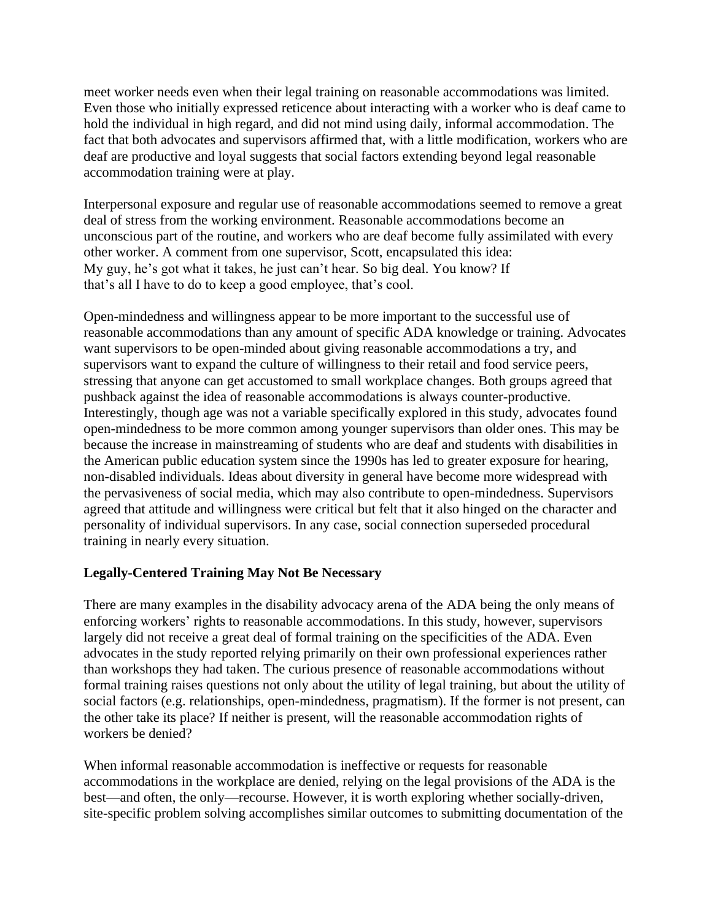meet worker needs even when their legal training on reasonable accommodations was limited. Even those who initially expressed reticence about interacting with a worker who is deaf came to hold the individual in high regard, and did not mind using daily, informal accommodation. The fact that both advocates and supervisors affirmed that, with a little modification, workers who are deaf are productive and loyal suggests that social factors extending beyond legal reasonable accommodation training were at play.

Interpersonal exposure and regular use of reasonable accommodations seemed to remove a great deal of stress from the working environment. Reasonable accommodations become an unconscious part of the routine, and workers who are deaf become fully assimilated with every other worker. A comment from one supervisor, Scott, encapsulated this idea: My guy, he's got what it takes, he just can't hear. So big deal. You know? If that's all I have to do to keep a good employee, that's cool.

Open-mindedness and willingness appear to be more important to the successful use of reasonable accommodations than any amount of specific ADA knowledge or training. Advocates want supervisors to be open-minded about giving reasonable accommodations a try, and supervisors want to expand the culture of willingness to their retail and food service peers, stressing that anyone can get accustomed to small workplace changes. Both groups agreed that pushback against the idea of reasonable accommodations is always counter-productive. Interestingly, though age was not a variable specifically explored in this study, advocates found open-mindedness to be more common among younger supervisors than older ones. This may be because the increase in mainstreaming of students who are deaf and students with disabilities in the American public education system since the 1990s has led to greater exposure for hearing, non-disabled individuals. Ideas about diversity in general have become more widespread with the pervasiveness of social media, which may also contribute to open-mindedness. Supervisors agreed that attitude and willingness were critical but felt that it also hinged on the character and personality of individual supervisors. In any case, social connection superseded procedural training in nearly every situation.

# **Legally-Centered Training May Not Be Necessary**

There are many examples in the disability advocacy arena of the ADA being the only means of enforcing workers' rights to reasonable accommodations. In this study, however, supervisors largely did not receive a great deal of formal training on the specificities of the ADA. Even advocates in the study reported relying primarily on their own professional experiences rather than workshops they had taken. The curious presence of reasonable accommodations without formal training raises questions not only about the utility of legal training, but about the utility of social factors (e.g. relationships, open-mindedness, pragmatism). If the former is not present, can the other take its place? If neither is present, will the reasonable accommodation rights of workers be denied?

When informal reasonable accommodation is ineffective or requests for reasonable accommodations in the workplace are denied, relying on the legal provisions of the ADA is the best—and often, the only—recourse. However, it is worth exploring whether socially-driven, site-specific problem solving accomplishes similar outcomes to submitting documentation of the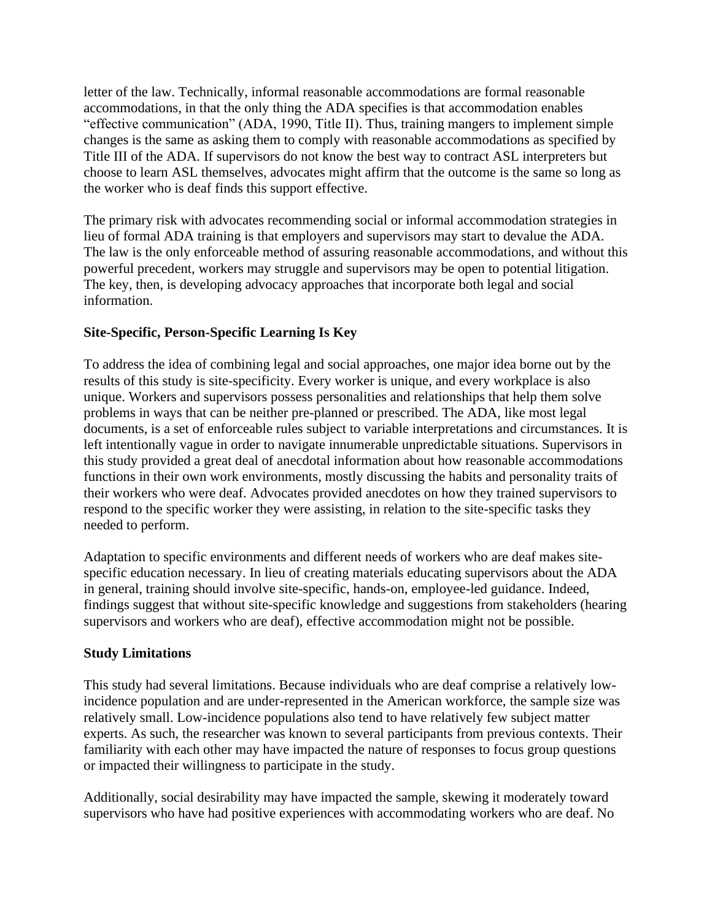letter of the law. Technically, informal reasonable accommodations are formal reasonable accommodations, in that the only thing the ADA specifies is that accommodation enables "effective communication" (ADA, 1990, Title II). Thus, training mangers to implement simple changes is the same as asking them to comply with reasonable accommodations as specified by Title III of the ADA. If supervisors do not know the best way to contract ASL interpreters but choose to learn ASL themselves, advocates might affirm that the outcome is the same so long as the worker who is deaf finds this support effective.

The primary risk with advocates recommending social or informal accommodation strategies in lieu of formal ADA training is that employers and supervisors may start to devalue the ADA. The law is the only enforceable method of assuring reasonable accommodations, and without this powerful precedent, workers may struggle and supervisors may be open to potential litigation. The key, then, is developing advocacy approaches that incorporate both legal and social information.

# **Site-Specific, Person-Specific Learning Is Key**

To address the idea of combining legal and social approaches, one major idea borne out by the results of this study is site-specificity. Every worker is unique, and every workplace is also unique. Workers and supervisors possess personalities and relationships that help them solve problems in ways that can be neither pre-planned or prescribed. The ADA, like most legal documents, is a set of enforceable rules subject to variable interpretations and circumstances. It is left intentionally vague in order to navigate innumerable unpredictable situations. Supervisors in this study provided a great deal of anecdotal information about how reasonable accommodations functions in their own work environments, mostly discussing the habits and personality traits of their workers who were deaf. Advocates provided anecdotes on how they trained supervisors to respond to the specific worker they were assisting, in relation to the site-specific tasks they needed to perform.

Adaptation to specific environments and different needs of workers who are deaf makes sitespecific education necessary. In lieu of creating materials educating supervisors about the ADA in general, training should involve site-specific, hands-on, employee-led guidance. Indeed, findings suggest that without site-specific knowledge and suggestions from stakeholders (hearing supervisors and workers who are deaf), effective accommodation might not be possible.

# **Study Limitations**

This study had several limitations. Because individuals who are deaf comprise a relatively lowincidence population and are under-represented in the American workforce, the sample size was relatively small. Low-incidence populations also tend to have relatively few subject matter experts. As such, the researcher was known to several participants from previous contexts. Their familiarity with each other may have impacted the nature of responses to focus group questions or impacted their willingness to participate in the study.

Additionally, social desirability may have impacted the sample, skewing it moderately toward supervisors who have had positive experiences with accommodating workers who are deaf. No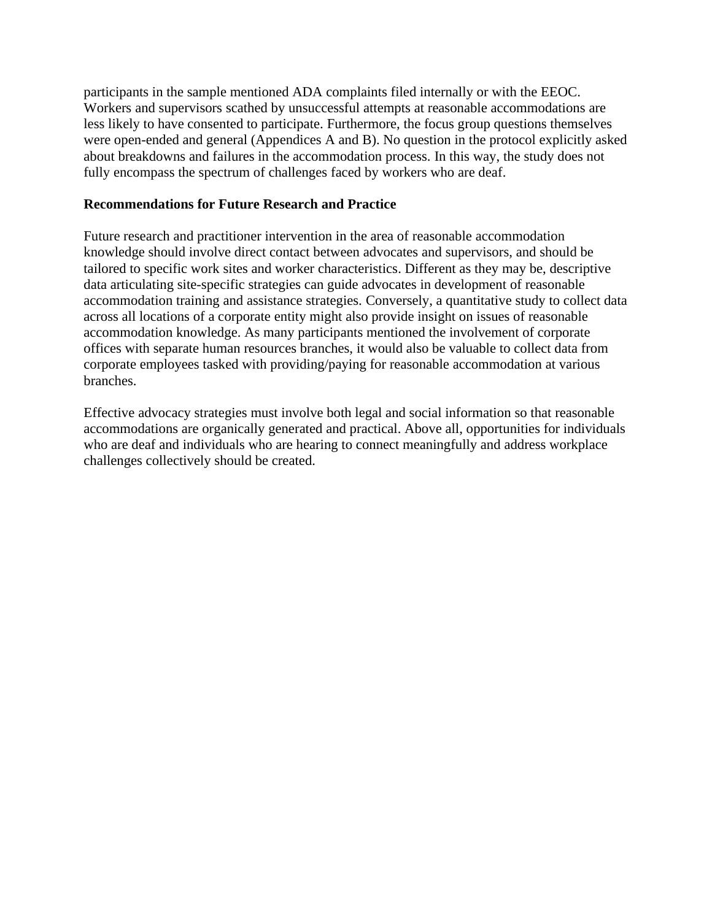participants in the sample mentioned ADA complaints filed internally or with the EEOC. Workers and supervisors scathed by unsuccessful attempts at reasonable accommodations are less likely to have consented to participate. Furthermore, the focus group questions themselves were open-ended and general (Appendices A and B). No question in the protocol explicitly asked about breakdowns and failures in the accommodation process. In this way, the study does not fully encompass the spectrum of challenges faced by workers who are deaf.

## **Recommendations for Future Research and Practice**

Future research and practitioner intervention in the area of reasonable accommodation knowledge should involve direct contact between advocates and supervisors, and should be tailored to specific work sites and worker characteristics. Different as they may be, descriptive data articulating site-specific strategies can guide advocates in development of reasonable accommodation training and assistance strategies. Conversely, a quantitative study to collect data across all locations of a corporate entity might also provide insight on issues of reasonable accommodation knowledge. As many participants mentioned the involvement of corporate offices with separate human resources branches, it would also be valuable to collect data from corporate employees tasked with providing/paying for reasonable accommodation at various branches.

Effective advocacy strategies must involve both legal and social information so that reasonable accommodations are organically generated and practical. Above all, opportunities for individuals who are deaf and individuals who are hearing to connect meaningfully and address workplace challenges collectively should be created.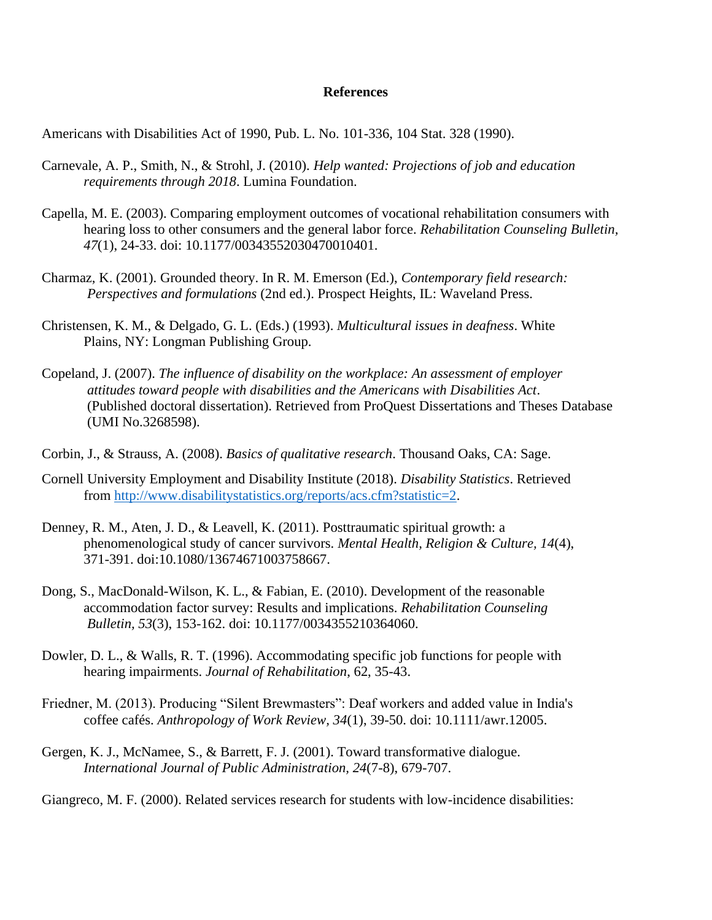#### **References**

Americans with Disabilities Act of 1990, Pub. L. No. 101-336, 104 Stat. 328 (1990).

- Carnevale, A. P., Smith, N., & Strohl, J. (2010). *Help wanted: Projections of job and education requirements through 2018*. Lumina Foundation.
- Capella, M. E. (2003). Comparing employment outcomes of vocational rehabilitation consumers with hearing loss to other consumers and the general labor force. *Rehabilitation Counseling Bulletin, 47*(1), 24-33. doi: 10.1177/00343552030470010401.
- Charmaz, K. (2001). Grounded theory. In R. M. Emerson (Ed.), *Contemporary field research: Perspectives and formulations* (2nd ed.). Prospect Heights, IL: Waveland Press.
- Christensen, K. M., & Delgado, G. L. (Eds.) (1993). *Multicultural issues in deafness*. White Plains, NY: Longman Publishing Group.
- Copeland, J. (2007). *The influence of disability on the workplace: An assessment of employer attitudes toward people with disabilities and the Americans with Disabilities Act*. (Published doctoral dissertation). Retrieved from ProQuest Dissertations and Theses Database (UMI No.3268598).
- Corbin, J., & Strauss, A. (2008). *Basics of qualitative research*. Thousand Oaks, CA: Sage.
- Cornell University Employment and Disability Institute (2018). *Disability Statistics*. Retrieved from [http://www.disabilitystatistics.org/reports/acs.cfm?statistic=2.](http://www.disabilitystatistics.org/reports/acs.cfm?statistic=2)
- Denney, R. M., Aten, J. D., & Leavell, K. (2011). Posttraumatic spiritual growth: a phenomenological study of cancer survivors. *Mental Health, Religion & Culture, 14*(4), 371-391. doi:10.1080/13674671003758667.
- Dong, S., MacDonald-Wilson, K. L., & Fabian, E. (2010). Development of the reasonable accommodation factor survey: Results and implications. *Rehabilitation Counseling Bulletin, 53*(3), 153-162. doi: 10.1177/0034355210364060.
- Dowler, D. L., & Walls, R. T. (1996). Accommodating specific job functions for people with hearing impairments. *Journal of Rehabilitation*, 62, 35-43.
- Friedner, M. (2013). Producing "Silent Brewmasters": Deaf workers and added value in India's coffee cafés. *Anthropology of Work Review, 34*(1), 39-50. doi: 10.1111/awr.12005.
- Gergen, K. J., McNamee, S., & Barrett, F. J. (2001). Toward transformative dialogue. *International Journal of Public Administration, 24*(7-8), 679-707.

Giangreco, M. F. (2000). Related services research for students with low-incidence disabilities: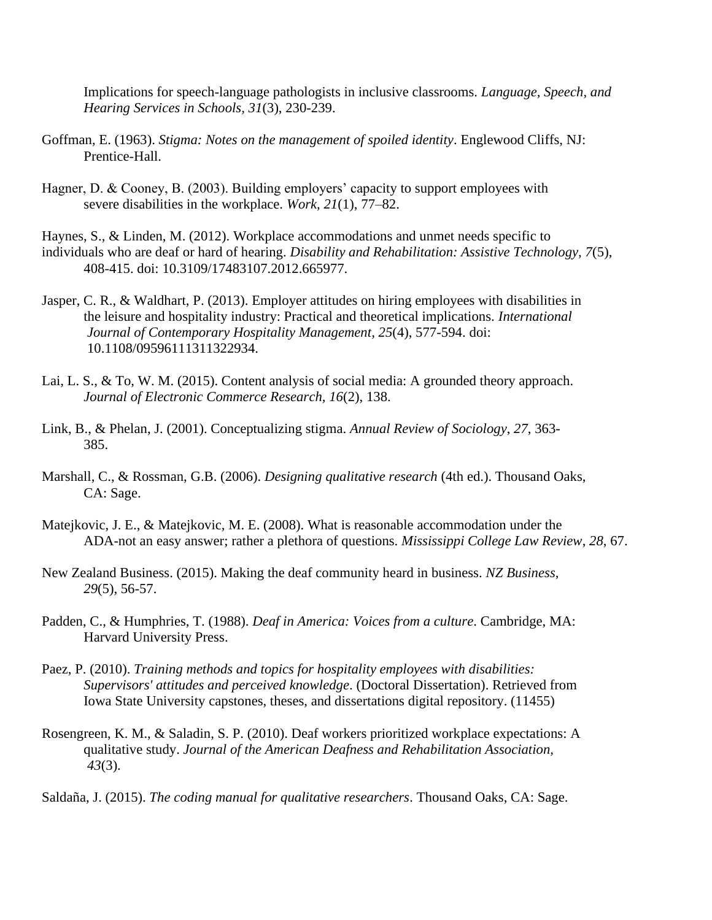Implications for speech-language pathologists in inclusive classrooms. *Language, Speech, and Hearing Services in Schools, 31*(3), 230-239.

- Goffman, E. (1963). *Stigma: Notes on the management of spoiled identity*. Englewood Cliffs, NJ: Prentice-Hall.
- Hagner, D. & Cooney, B. (2003). Building employers' capacity to support employees with severe disabilities in the workplace. *Work, 21*(1), 77–82.
- Haynes, S., & Linden, M. (2012). Workplace accommodations and unmet needs specific to individuals who are deaf or hard of hearing. *Disability and Rehabilitation: Assistive Technology, 7*(5), 408-415. doi: 10.3109/17483107.2012.665977.
- Jasper, C. R., & Waldhart, P. (2013). Employer attitudes on hiring employees with disabilities in the leisure and hospitality industry: Practical and theoretical implications. *International Journal of Contemporary Hospitality Management, 25*(4), 577-594. doi: 10.1108/09596111311322934.
- Lai, L. S., & To, W. M. (2015). Content analysis of social media: A grounded theory approach. *Journal of Electronic Commerce Research, 16*(2), 138.
- Link, B., & Phelan, J. (2001). Conceptualizing stigma. *Annual Review of Sociology*, *27*, 363- 385.
- Marshall, C., & Rossman, G.B. (2006). *Designing qualitative research* (4th ed.). Thousand Oaks, CA: Sage.
- Matejkovic, J. E., & Matejkovic, M. E. (2008). What is reasonable accommodation under the ADA-not an easy answer; rather a plethora of questions. *Mississippi College Law Review*, *28*, 67.
- New Zealand Business. (2015). Making the deaf community heard in business. *NZ Business, 29*(5), 56-57.
- Padden, C., & Humphries, T. (1988). *Deaf in America: Voices from a culture*. Cambridge, MA: Harvard University Press.
- Paez, P. (2010). *Training methods and topics for hospitality employees with disabilities: Supervisors' attitudes and perceived knowledge*. (Doctoral Dissertation). Retrieved from Iowa State University capstones, theses, and dissertations digital repository. (11455)
- Rosengreen, K. M., & Saladin, S. P. (2010). Deaf workers prioritized workplace expectations: A qualitative study. *Journal of the American Deafness and Rehabilitation Association, 43*(3).
- Saldaña, J. (2015). *The coding manual for qualitative researchers*. Thousand Oaks, CA: Sage.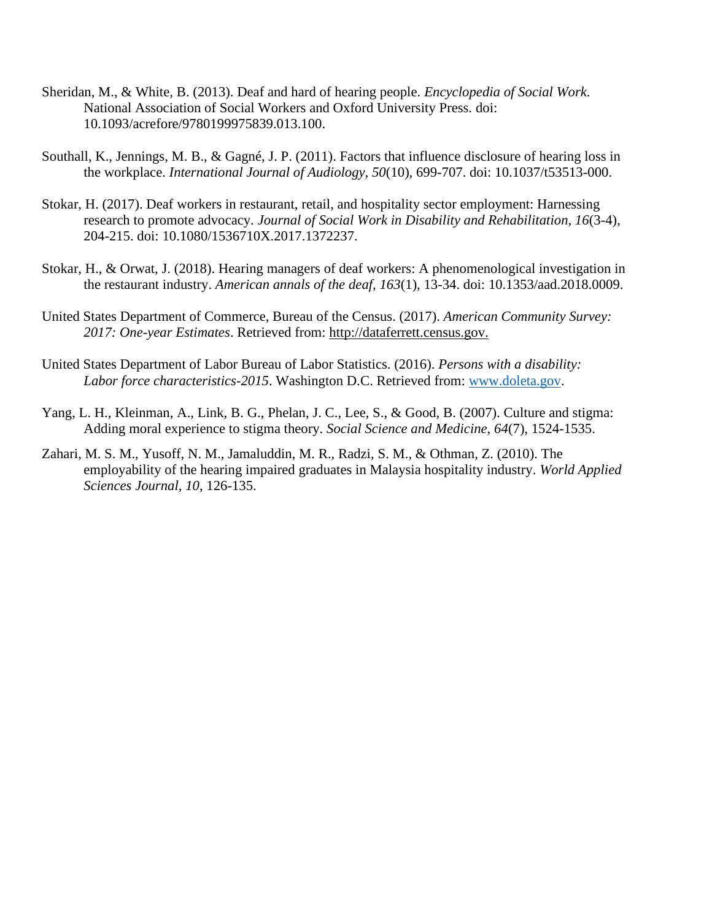- Sheridan, M., & White, B. (2013). Deaf and hard of hearing people. *Encyclopedia of Social Work*. National Association of Social Workers and Oxford University Press. doi: 10.1093/acrefore/9780199975839.013.100.
- Southall, K., Jennings, M. B., & Gagné, J. P. (2011). Factors that influence disclosure of hearing loss in the workplace. *International Journal of Audiology, 50*(10), 699-707. doi: 10.1037/t53513-000.
- Stokar, H. (2017). Deaf workers in restaurant, retail, and hospitality sector employment: Harnessing research to promote advocacy. *Journal of Social Work in Disability and Rehabilitation, 16*(3-4), 204-215. doi: 10.1080/1536710X.2017.1372237.
- Stokar, H., & Orwat, J. (2018). Hearing managers of deaf workers: A phenomenological investigation in the restaurant industry. *American annals of the deaf, 163*(1), 13-34. doi: 10.1353/aad.2018.0009.
- United States Department of Commerce, Bureau of the Census. (2017). *American Community Survey: 2017: One-year Estimates*. Retrieved from: [http://dataferrett.census.gov.](http://dataferrett.census.gov/)
- United States Department of Labor Bureau of Labor Statistics. (2016). *Persons with a disability: Labor force characteristics-2015*. Washington D.C. Retrieved from: [www.doleta.gov.](http://www.doleta.gov/)
- Yang, L. H., Kleinman, A., Link, B. G., Phelan, J. C., Lee, S., & Good, B. (2007). Culture and stigma: Adding moral experience to stigma theory. *Social Science and Medicine, 64*(7), 1524-1535.
- Zahari, M. S. M., Yusoff, N. M., Jamaluddin, M. R., Radzi, S. M., & Othman, Z. (2010). The employability of the hearing impaired graduates in Malaysia hospitality industry. *World Applied Sciences Journal, 10*, 126-135.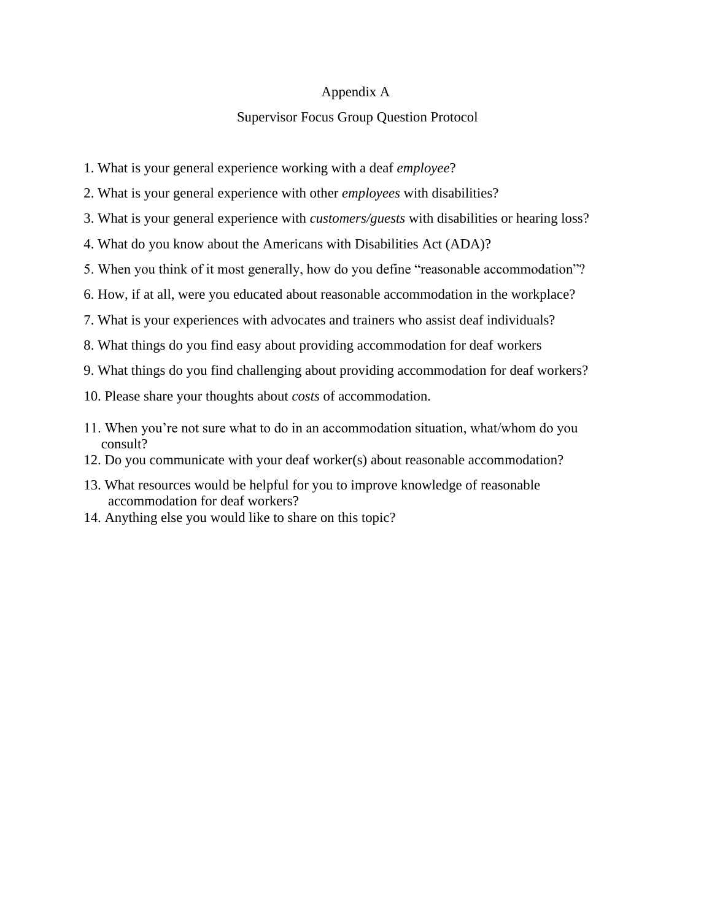#### Appendix A

#### Supervisor Focus Group Question Protocol

- 1. What is your general experience working with a deaf *employee*?
- 2. What is your general experience with other *employees* with disabilities?
- 3. What is your general experience with *customers/guests* with disabilities or hearing loss?
- 4. What do you know about the Americans with Disabilities Act (ADA)?
- 5. When you think of it most generally, how do you define "reasonable accommodation"?
- 6. How, if at all, were you educated about reasonable accommodation in the workplace?
- 7. What is your experiences with advocates and trainers who assist deaf individuals?
- 8. What things do you find easy about providing accommodation for deaf workers
- 9. What things do you find challenging about providing accommodation for deaf workers?
- 10. Please share your thoughts about *costs* of accommodation.
- 11. When you're not sure what to do in an accommodation situation, what/whom do you consult?
- 12. Do you communicate with your deaf worker(s) about reasonable accommodation?
- 13. What resources would be helpful for you to improve knowledge of reasonable accommodation for deaf workers?
- 14. Anything else you would like to share on this topic?